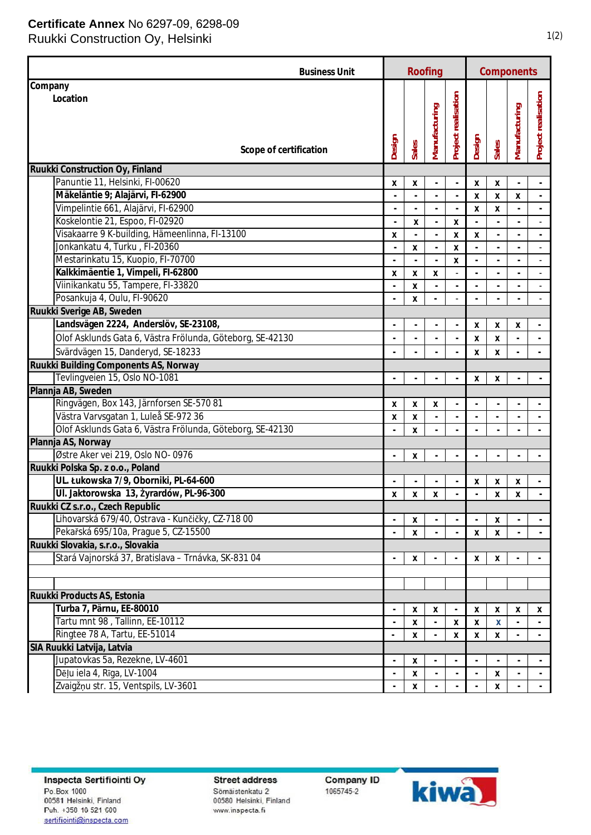## **Certificate Annex** No 6297-09, 6298-09

Ruukki Construction Oy, Helsinki 1(2)

| <b>Business Unit</b>                                      | Roofing                  |       |                          |                          | Components               |                    |                          |                          |
|-----------------------------------------------------------|--------------------------|-------|--------------------------|--------------------------|--------------------------|--------------------|--------------------------|--------------------------|
| Company                                                   |                          |       |                          |                          |                          |                    |                          |                          |
| Location<br>Scope of certification                        | Design                   | Sales | Manufacturing            | Project realisation      | Design                   | Sales              | Manufacturing            | Project realisation      |
|                                                           |                          |       |                          |                          |                          |                    |                          |                          |
| Ruukki Construction Oy, Finland                           |                          |       |                          |                          |                          |                    |                          |                          |
| Panuntie 11, Helsinki, FI-00620                           | Χ                        | Х     |                          | $\overline{a}$           | X                        | X                  |                          |                          |
| Mäkeläntie 9; Alajärvi, FI-62900                          |                          |       |                          |                          | $\pmb{\mathsf{X}}$       | Χ                  | X                        | $\blacksquare$           |
| Vimpelintie 661, Alajärvi, FI-62900                       | $\overline{a}$           |       | $\overline{\phantom{a}}$ | $\overline{a}$           | $\pmb{\mathsf{X}}$       | X                  | $\overline{\phantom{a}}$ | $\Box$                   |
| Koskelontie 21, Espoo, FI-02920                           |                          | X     | $\blacksquare$           | X                        |                          |                    | $\overline{a}$           |                          |
| Visakaarre 9 K-building, Hämeenlinna, FI-13100            | x                        |       | $\overline{\phantom{a}}$ | X                        | X                        |                    |                          |                          |
| Jonkankatu 4, Turku, FI-20360                             | $\overline{a}$           | X     | $\blacksquare$           | Χ                        | $\overline{\phantom{a}}$ |                    | $\overline{a}$           | $\overline{\phantom{a}}$ |
| Mestarinkatu 15, Kuopio, FI-70700                         |                          |       | ÷,                       | X                        | $\overline{\phantom{a}}$ |                    |                          | $\overline{\phantom{a}}$ |
| Kalkkimäentie 1, Vimpeli, FI-62800                        | X                        | Х     | Χ                        |                          |                          |                    |                          |                          |
| Viinikankatu 55, Tampere, FI-33820                        | $\overline{a}$           | X     | $\overline{\phantom{a}}$ |                          | $\overline{\phantom{a}}$ |                    | $\overline{\phantom{a}}$ |                          |
| Posankuja 4, Oulu, FI-90620                               | ÷,                       | X     |                          |                          |                          |                    |                          |                          |
| Ruukki Sverige AB, Sweden                                 |                          |       |                          |                          |                          |                    |                          |                          |
| Landsvägen 2224, Anderslöv, SE-23108,                     | $\overline{a}$           |       |                          | $\frac{1}{2}$            | X                        | X                  | х                        |                          |
| Olof Asklunds Gata 6, Västra Frölunda, Göteborg, SE-42130 |                          |       |                          |                          | X                        | $\mathsf{x}$       |                          |                          |
| Svärdvägen 15, Danderyd, SE-18233                         |                          |       |                          |                          | X                        | X                  |                          |                          |
| Ruukki Building Components AS, Norway                     |                          |       |                          |                          |                          |                    |                          |                          |
| Tevlingveien 15, Oslo NO-1081                             |                          |       |                          |                          | X                        | X                  |                          |                          |
| Plannja AB, Sweden                                        |                          |       |                          |                          |                          |                    |                          |                          |
| Ringvägen, Box 143, Järnforsen SE-570 81                  | X                        | Х     | Χ                        |                          |                          |                    |                          |                          |
| Västra Varvsgatan 1, Luleå SE-972 36                      | Χ                        | X     | $\overline{a}$           |                          |                          |                    |                          |                          |
| Olof Asklunds Gata 6, Västra Frölunda, Göteborg, SE-42130 |                          | X     |                          |                          |                          |                    |                          |                          |
| Plannja AS, Norway                                        |                          |       |                          |                          |                          |                    |                          |                          |
| Østre Aker vei 219, Oslo NO-0976                          | $\overline{a}$           | X     |                          | $\frac{1}{2}$            |                          |                    |                          |                          |
| Ruukki Polska Sp. z o.o., Poland                          |                          |       |                          |                          |                          |                    |                          |                          |
| UL. Łukowska 7/9, Oborniki, PL-64-600                     |                          |       |                          |                          | х                        | х                  | X                        |                          |
| UI. Jaktorowska 13, Żyrardów, PL-96-300                   | X                        | X     | Χ                        |                          |                          | $\pmb{\mathsf{X}}$ | Χ                        |                          |
| Ruukki CZ s.r.o., Czech Republic                          |                          |       |                          |                          |                          |                    |                          |                          |
| Lihovarská 679/40, Ostrava - Kunčičky, CZ-718 00          |                          | х     |                          |                          |                          | х                  |                          |                          |
| Pekařská 695/10a, Prague 5, CZ-15500                      | $\overline{\phantom{a}}$ | X     |                          |                          | X                        | X                  |                          |                          |
| Ruukki Slovakia, s.r.o., Slovakia                         |                          |       |                          |                          |                          |                    |                          |                          |
| Stará Vajnorská 37, Bratislava – Trnávka, SK-831 04       |                          | Χ     |                          |                          | X                        | X                  |                          |                          |
|                                                           |                          |       |                          |                          |                          |                    |                          |                          |
|                                                           |                          |       |                          |                          |                          |                    |                          |                          |
| Ruukki Products AS, Estonia                               |                          |       |                          |                          |                          |                    |                          |                          |
| Turba 7, Pärnu, EE-80010                                  | $\overline{\phantom{a}}$ | х     | х                        | $\overline{\phantom{a}}$ | х                        | Χ                  | х                        | х                        |
| Tartu mnt 98, Tallinn, EE-10112                           | $\blacksquare$           | X     | $\overline{\phantom{a}}$ | X                        | X                        | X                  |                          | $\overline{\phantom{a}}$ |
| Ringtee 78 A, Tartu, EE-51014                             | $\overline{a}$           | X     |                          | X                        | X                        | X                  |                          | $\blacksquare$           |
| SIA Ruukki Latvija, Latvia                                |                          |       |                          |                          |                          |                    |                          |                          |
| Jupatovkas 5a, Rezekne, LV-4601                           | $\overline{\phantom{a}}$ | X     |                          |                          |                          |                    |                          |                          |
| Dēļu iela 4, Rīga, LV-1004                                | ÷,                       | X     |                          |                          |                          | X                  |                          |                          |
| Zvaigžņu str. 15, Ventspils, LV-3601                      |                          | X     |                          |                          |                          | X                  |                          |                          |

Inspecta Sertifiointi Oy Po.Box 1000 00581 Helsinki, Finland Puh. +358 10 521 600 sertifiointi@inspecta.com

**Street address** Sömäistenkatu 2 00580 Helsinki, Finland www.inspecta.fi

**Company ID** 1065745-2